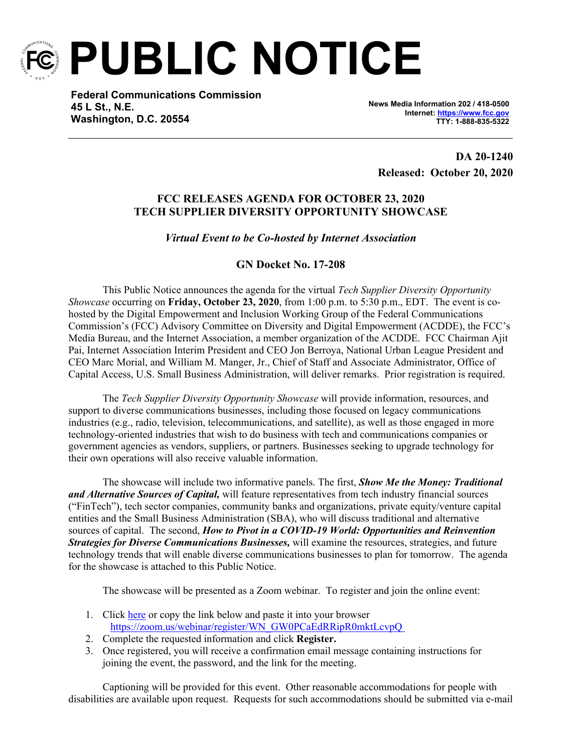

**PUBLIC NOTICE**

**Federal Communications Commission 45 L St., N.E. Washington, D.C. 20554**

**News Media Information 202 / 418-0500 Internet:<https://www.fcc.gov> TTY: 1-888-835-5322**

**DA 20-1240 Released: October 20, 2020**

# **FCC RELEASES AGENDA FOR OCTOBER 23, 2020 TECH SUPPLIER DIVERSITY OPPORTUNITY SHOWCASE**

## *Virtual Event to be Co-hosted by Internet Association*

## **GN Docket No. 17-208**

This Public Notice announces the agenda for the virtual *Tech Supplier Diversity Opportunity Showcase* occurring on **Friday, October 23, 2020**, from 1:00 p.m. to 5:30 p.m., EDT. The event is cohosted by the Digital Empowerment and Inclusion Working Group of the Federal Communications Commission's (FCC) Advisory Committee on Diversity and Digital Empowerment (ACDDE), the FCC's Media Bureau, and the Internet Association, a member organization of the ACDDE. FCC Chairman Ajit Pai, Internet Association Interim President and CEO Jon Berroya, National Urban League President and CEO Marc Morial, and William M. Manger, Jr., Chief of Staff and Associate Administrator, Office of Capital Access, U.S. Small Business Administration, will deliver remarks. Prior registration is required.

The *Tech Supplier Diversity Opportunity Showcase* will provide information, resources, and support to diverse communications businesses, including those focused on legacy communications industries (e.g., radio, television, telecommunications, and satellite), as well as those engaged in more technology-oriented industries that wish to do business with tech and communications companies or government agencies as vendors, suppliers, or partners. Businesses seeking to upgrade technology for their own operations will also receive valuable information.

The showcase will include two informative panels. The first, *Show Me the Money: Traditional and Alternative Sources of Capital,* will feature representatives from tech industry financial sources ("FinTech"), tech sector companies, community banks and organizations, private equity/venture capital entities and the Small Business Administration (SBA), who will discuss traditional and alternative sources of capital. The second, *How to Pivot in a COVID-19 World: Opportunities and Reinvention Strategies for Diverse Communications Businesses,* will examine the resources, strategies, and future technology trends that will enable diverse communications businesses to plan for tomorrow. The agenda for the showcase is attached to this Public Notice.

The showcase will be presented as a Zoom webinar. To register and join the online event:

- 1. Click [here](https://urldefense.proofpoint.com/v2/url?u=https-3A__zoom.us_webinar_register_WN-5FGW0PCaEdRRipR0mktLcvpQ&d=DwMFaQ&c=y0h0omCe0jAUGr4gAQ02Fw&r=Cs6nRGfuYrvzCfbIto8t7BPZgPBBvHo-p69YVZzxzZQ&m=maEgqtWNnB-v61vapJZwjO28JQ7CF875aD_h1w7sdb8&s=PFKRovh308UHfUDVa7yWkFtwhaHgWHJIq56VPUMcEtY&e=) or copy the link below and paste it into your browser [https://zoom.us/webinar/register/WN\\_GW0PCaEdRRipR0mktLcvpQ](https://urldefense.proofpoint.com/v2/url?u=https-3A__zoom.us_webinar_register_WN-5FGW0PCaEdRRipR0mktLcvpQ&d=DwMFaQ&c=y0h0omCe0jAUGr4gAQ02Fw&r=Cs6nRGfuYrvzCfbIto8t7BPZgPBBvHo-p69YVZzxzZQ&m=maEgqtWNnB-v61vapJZwjO28JQ7CF875aD_h1w7sdb8&s=PFKRovh308UHfUDVa7yWkFtwhaHgWHJIq56VPUMcEtY&e=)
- 2. Complete the requested information and click **Register.**
- 3. Once registered, you will receive a confirmation email message containing instructions for joining the event, the password, and the link for the meeting.

Captioning will be provided for this event. Other reasonable accommodations for people with disabilities are available upon request. Requests for such accommodations should be submitted via e-mail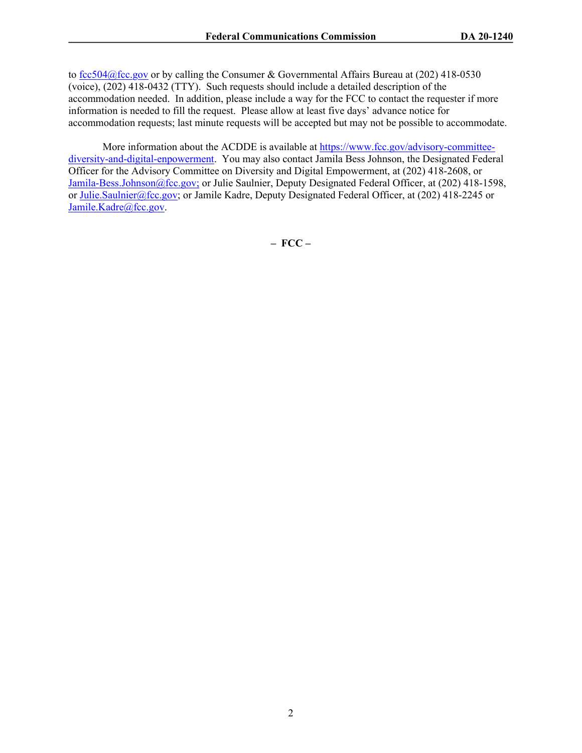to [fcc504@fcc.gov](mailto:fcc504@fcc.gov) or by calling the Consumer & Governmental Affairs Bureau at (202) 418-0530 (voice), (202) 418-0432 (TTY). Such requests should include a detailed description of the accommodation needed. In addition, please include a way for the FCC to contact the requester if more information is needed to fill the request. Please allow at least five days' advance notice for accommodation requests; last minute requests will be accepted but may not be possible to accommodate.

More information about the ACDDE is available at [https://www.fcc.gov/advisory-committee](https://www.fcc.gov/advisory-committee-diversity-and-digital-enpowerment)[diversity-and-digital-enpowerment](https://www.fcc.gov/advisory-committee-diversity-and-digital-enpowerment). You may also contact Jamila Bess Johnson, the Designated Federal Officer for the Advisory Committee on Diversity and Digital Empowerment, at (202) 418-2608, or [Jamila-Bess.Johnson@fcc.gov;](mailto:Jamila-Bess.Johnson@fcc.gov) or Julie Saulnier, Deputy Designated Federal Officer, at (202) 418-1598, or [Julie.Saulnier@fcc.gov;](mailto:Julie.Saulnier@fcc.gov) or Jamile Kadre, Deputy Designated Federal Officer, at (202) 418-2245 or [Jamile.Kadre@fcc.gov](mailto:Jamile.Kadre@fcc.gov).

**– FCC –**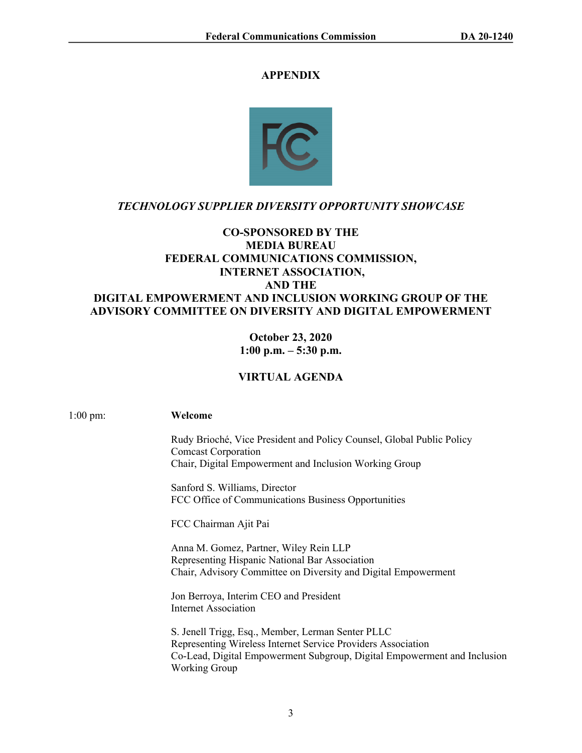## **APPENDIX**



# *TECHNOLOGY SUPPLIER DIVERSITY OPPORTUNITY SHOWCASE*

# **CO-SPONSORED BY THE MEDIA BUREAU FEDERAL COMMUNICATIONS COMMISSION, INTERNET ASSOCIATION, AND THE DIGITAL EMPOWERMENT AND INCLUSION WORKING GROUP OF THE ADVISORY COMMITTEE ON DIVERSITY AND DIGITAL EMPOWERMENT**

**October 23, 2020 1:00 p.m. – 5:30 p.m.**

# **VIRTUAL AGENDA**

1:00 pm: **Welcome** 

Rudy Brioché, Vice President and Policy Counsel, Global Public Policy Comcast Corporation Chair, Digital Empowerment and Inclusion Working Group

Sanford S. Williams, Director FCC Office of Communications Business Opportunities

FCC Chairman Ajit Pai

Anna M. Gomez, Partner, Wiley Rein LLP Representing Hispanic National Bar Association Chair, Advisory Committee on Diversity and Digital Empowerment

Jon Berroya, Interim CEO and President Internet Association

S. Jenell Trigg, Esq., Member, Lerman Senter PLLC Representing Wireless Internet Service Providers Association Co-Lead, Digital Empowerment Subgroup, Digital Empowerment and Inclusion Working Group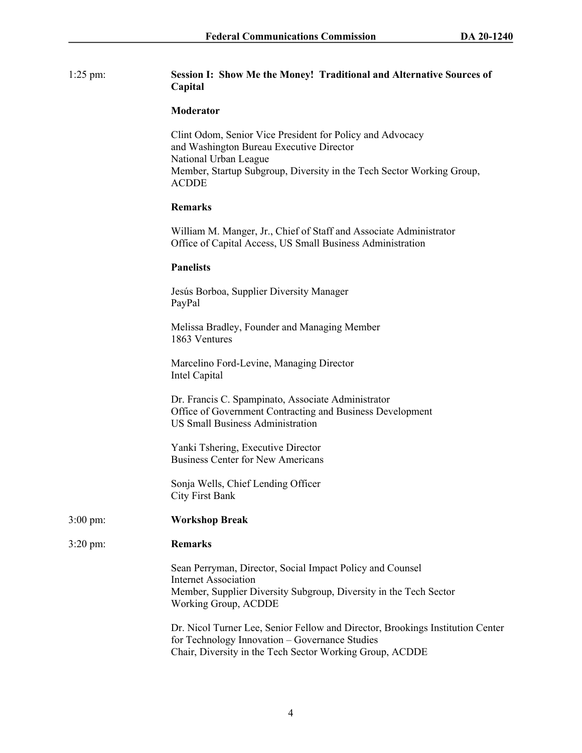## 1:25 pm: **Session I: Show Me the Money! Traditional and Alternative Sources of Capital**

#### **Moderator**

Clint Odom, Senior Vice President for Policy and Advocacy and Washington Bureau Executive Director National Urban League Member, Startup Subgroup, Diversity in the Tech Sector Working Group, ACDDE

### **Remarks**

William M. Manger, Jr., Chief of Staff and Associate Administrator Office of Capital Access, US Small Business Administration

#### **Panelists**

Jesús Borboa, Supplier Diversity Manager PayPal

Melissa Bradley, Founder and Managing Member 1863 Ventures

Marcelino Ford-Levine, Managing Director Intel Capital

Dr. Francis C. Spampinato, Associate Administrator Office of Government Contracting and Business Development US Small Business Administration

Yanki Tshering, Executive Director Business Center for New Americans

Sonja Wells, Chief Lending Officer City First Bank

- 3:00 pm: **Workshop Break**
- 3:20 pm: **Remarks**

Sean Perryman, Director, Social Impact Policy and Counsel Internet Association Member, Supplier Diversity Subgroup, Diversity in the Tech Sector Working Group, ACDDE

Dr. Nicol Turner Lee, Senior Fellow and Director, Brookings Institution Center for Technology Innovation – Governance Studies Chair, Diversity in the Tech Sector Working Group, ACDDE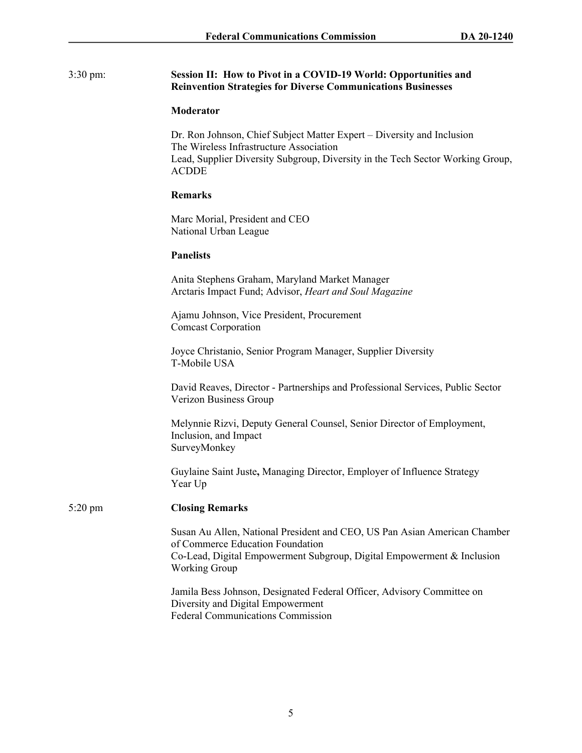### 3:30 pm: **Session II: How to Pivot in a COVID-19 World: Opportunities and Reinvention Strategies for Diverse Communications Businesses**

#### **Moderator**

Dr. Ron Johnson, Chief Subject Matter Expert – Diversity and Inclusion The Wireless Infrastructure Association Lead, Supplier Diversity Subgroup, Diversity in the Tech Sector Working Group, ACDDE

## **Remarks**

Marc Morial, President and CEO National Urban League

### **Panelists**

Anita Stephens Graham, Maryland Market Manager Arctaris Impact Fund; Advisor, *Heart and Soul Magazine*

Ajamu Johnson, Vice President, Procurement Comcast Corporation

Joyce Christanio, Senior Program Manager, Supplier Diversity T-Mobile USA

David Reaves, Director - Partnerships and Professional Services, Public Sector Verizon Business Group

Melynnie Rizvi, Deputy General Counsel, Senior Director of Employment, Inclusion, and Impact SurveyMonkey

Guylaine Saint Juste**,** Managing Director, Employer of Influence Strategy Year Up

## 5:20 pm **Closing Remarks**

Susan Au Allen, National President and CEO, US Pan Asian American Chamber of Commerce Education Foundation Co-Lead, Digital Empowerment Subgroup, Digital Empowerment & Inclusion Working Group

Jamila Bess Johnson, Designated Federal Officer, Advisory Committee on Diversity and Digital Empowerment Federal Communications Commission